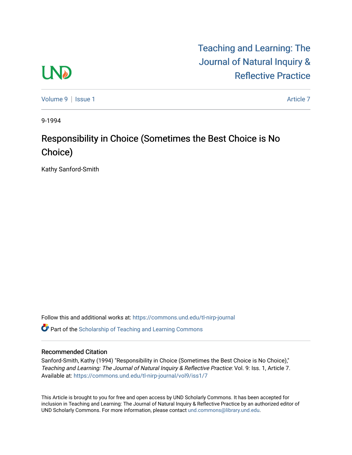# **LND**

[Teaching and Learning: The](https://commons.und.edu/tl-nirp-journal)  [Journal of Natural Inquiry &](https://commons.und.edu/tl-nirp-journal)  [Reflective Practice](https://commons.und.edu/tl-nirp-journal) 

[Volume 9](https://commons.und.edu/tl-nirp-journal/vol9) | [Issue 1](https://commons.und.edu/tl-nirp-journal/vol9/iss1) Article 7

9-1994

## Responsibility in Choice (Sometimes the Best Choice is No Choice)

Kathy Sanford-Smith

Follow this and additional works at: [https://commons.und.edu/tl-nirp-journal](https://commons.und.edu/tl-nirp-journal?utm_source=commons.und.edu%2Ftl-nirp-journal%2Fvol9%2Fiss1%2F7&utm_medium=PDF&utm_campaign=PDFCoverPages) 

**C** Part of the Scholarship of Teaching and Learning Commons

### Recommended Citation

Sanford-Smith, Kathy (1994) "Responsibility in Choice (Sometimes the Best Choice is No Choice)," Teaching and Learning: The Journal of Natural Inquiry & Reflective Practice: Vol. 9: Iss. 1, Article 7. Available at: [https://commons.und.edu/tl-nirp-journal/vol9/iss1/7](https://commons.und.edu/tl-nirp-journal/vol9/iss1/7?utm_source=commons.und.edu%2Ftl-nirp-journal%2Fvol9%2Fiss1%2F7&utm_medium=PDF&utm_campaign=PDFCoverPages)

This Article is brought to you for free and open access by UND Scholarly Commons. It has been accepted for inclusion in Teaching and Learning: The Journal of Natural Inquiry & Reflective Practice by an authorized editor of UND Scholarly Commons. For more information, please contact [und.commons@library.und.edu.](mailto:und.commons@library.und.edu)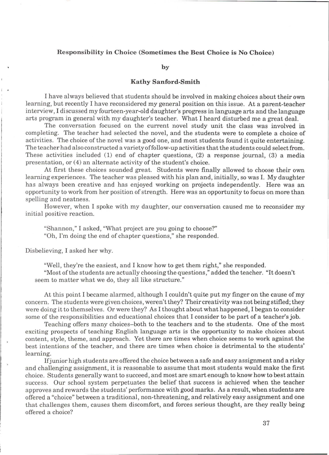#### **Responsibility in Choice (Sometimes the Best Choice is No Choice)**

#### **by**

#### **Kathy Sanford-Smith**

I have always believed that students should be involved in making choices about their own learning, but recently I have reconsidered my general position on this issue. At a parent-teacher interview, I discussed my fourteen-year-old daughter's progress in language arts and the language arts program in general with my daughter's teacher. What I heard disturbed me a great deal.

The conversation focused on the current novel study unit the class was involved in completing. The teacher had selected the novel, and the students were to complete a choice of activities. The choice of the novel was a good one, and most students found it quite entertaining. The teacher had also constructed a variety of follow-up activities that the students could select from. These activities included (1) end of chapter questions, (2) a response journal, (3) a media presentation, or  $(4)$  an alternate activity of the student's choice.

At first these choices sounded great. Students were finally allowed to choose their own learning experiences. The teacher was pleased with his plan and, initially, so was I. My daughter has always been creative and has enjoyed working on projects independently. Here was an opportunity to work from her position of strength. Here was an opportunity to focus on more than spelling and neatness.

However, when I spoke with my daughter, our conversation caused me to reconsider my initial positive reaction.

"Shannon," I asked, "What project are you going to choose?" "Oh, I'm doing the end of chapter questions," she responded.

Disbelieving, I asked her why.

"Well, they're the easiest, and I know how to get them right," she responded.

"Most of the students are actually choosing the questions," added the teacher. "It doesn't seem to matter what we do, they all like structure."

At this point I became alarmed, although I couldn't quite put my finger on the cause of my concern. The students were given choices, weren't they? Their creativity was not being stifled; they were doing it to themselves. Or were they? As I thought about what happened, I began to consider some of the responsibilities and educational choices that I consider to be part of a teacher's job.

Teaching offers many choices-both to the teachers and to the students. One of the most exciting prospects of teaching English language arts is the opportunity to make choices about content, style, theme, and approach. Yet there are times when choice seems to work against the best intentions of the teacher, and there are times when choice is detrimental to the students' learning.

If junior high students are offered the choice between a safe and easy assignment and a risky and challenging assignment, it is reasonable to assume that most students would make the first choice. Students generally want to succeed, and most are smart enough to know how to best attain success. Our school system perpetuates the belief that success is achieved when the teacher a pproves and rewards the students' performance with good marks. As a result, when students are offered a "choice" between a traditional, non-threatening, and relatively easy assignment and one that challenges them, causes them discomfort, and forces serious thought, are they really being offered a choice?